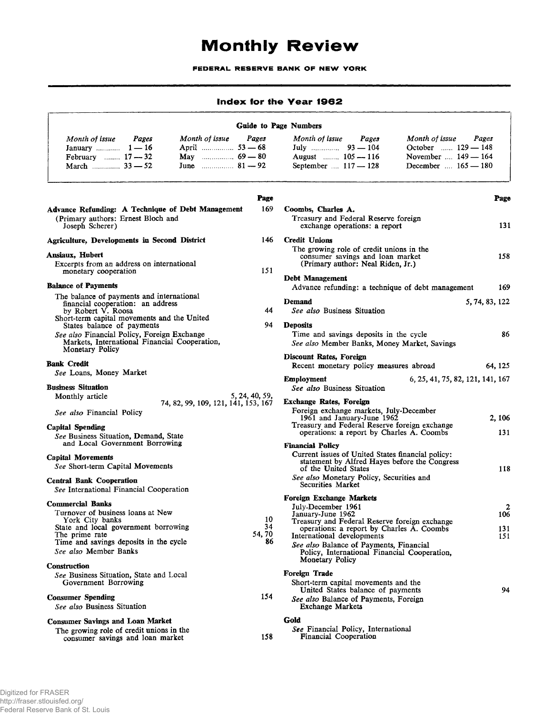## Monthly Review

FEDERAL RESERVE BANK OF NEW YORK

| Index for the Year 1962                                                                                                                                                                            |                                                                                                                                                                                                                        |                       |  |  |  |  |
|----------------------------------------------------------------------------------------------------------------------------------------------------------------------------------------------------|------------------------------------------------------------------------------------------------------------------------------------------------------------------------------------------------------------------------|-----------------------|--|--|--|--|
| Guide to Page Numbers                                                                                                                                                                              |                                                                                                                                                                                                                        |                       |  |  |  |  |
| Month of issue<br>Pages<br>Month of issue<br>Pages<br>January $\ldots$ 1 - 16<br>April 53 - 68<br>May $\ldots$ 69 – 80<br>February  17 - 32<br>June $\ldots$ 81 – 92                               | Month of issue<br>Month of issue<br>Pages<br>October  129 - 148<br>November $\dots$ 149 $-$ 164<br>August  105 - 116<br>September  117 - 128<br>December  165 - 180                                                    | Pages                 |  |  |  |  |
| Page                                                                                                                                                                                               |                                                                                                                                                                                                                        | Page                  |  |  |  |  |
| 169<br>Advance Refunding: A Technique of Debt Management<br>(Primary authors: Ernest Bloch and<br>Joseph Scherer)                                                                                  | Coombs, Charles A.<br>Treasury and Federal Reserve foreign<br>exchange operations: a report                                                                                                                            | 131                   |  |  |  |  |
| 146<br><b>Agriculture, Developments in Second District</b>                                                                                                                                         | <b>Credit Unions</b>                                                                                                                                                                                                   |                       |  |  |  |  |
| Ansiaux, Hubert<br>Excerpts from an address on international<br>151<br>monetary cooperation                                                                                                        | The growing role of credit unions in the<br>consumer savings and loan market<br>(Primary author: Neal Riden, Jr.)                                                                                                      | 158                   |  |  |  |  |
| <b>Balance of Payments</b>                                                                                                                                                                         | Debt Management                                                                                                                                                                                                        | 169                   |  |  |  |  |
| The balance of payments and international<br>financial cooperation: an address<br>44<br>by Robert V. Roosa                                                                                         | Advance refunding: a technique of debt management<br>Demand<br>See also Business Situation                                                                                                                             | 5, 74, 83, 122        |  |  |  |  |
| Short-term capital movements and the United<br>94<br>States balance of payments<br>See also Financial Policy, Foreign Exchange<br>Markets, International Financial Cooperation,<br>Monetary Policy | <b>Deposits</b><br>Time and savings deposits in the cycle<br>See also Member Banks, Money Market, Savings                                                                                                              | 86                    |  |  |  |  |
| <b>Bank Credit</b>                                                                                                                                                                                 | Discount Rates, Foreign<br>Recent monetary policy measures abroad                                                                                                                                                      | 64, 125               |  |  |  |  |
| See Loans, Money Market<br><b>Business Situation</b>                                                                                                                                               | Employment<br>6, 25, 41, 75, 82, 121, 141, 167<br>See also Business Situation                                                                                                                                          |                       |  |  |  |  |
| 5, 24, 40, 59,<br>Monthly article<br>74, 82, 99, 109, 121, 141, 153, 167<br>See also Financial Policy                                                                                              | <b>Exchange Rates, Foreign</b><br>Foreign exchange markets, July-December<br>1961 and January-June 1962                                                                                                                | 2, 106                |  |  |  |  |
| Capital Spending<br>See Business Situation, Demand, State<br>and Local Government Borrowing                                                                                                        | Treasury and Federal Reserve foreign exchange<br>operations: a report by Charles A. Coombs                                                                                                                             | 131                   |  |  |  |  |
| <b>Capital Movements</b><br>See Short-term Capital Movements<br><b>Central Bank Cooperation</b>                                                                                                    | <b>Financial Policy</b><br>Current issues of United States financial policy:<br>statement by Alfred Hayes before the Congress<br>of the United States<br>See also Monetary Policy, Securities and<br>Securities Market | 118                   |  |  |  |  |
| See International Financial Cooperation                                                                                                                                                            | Foreign Exchange Markets                                                                                                                                                                                               |                       |  |  |  |  |
| <b>Commercial Banks</b><br>Turnover of business loans at New<br>10<br>York City banks                                                                                                              | July-December 1961<br>January-June 1962<br>Treasury and Federal Reserve foreign exchange                                                                                                                               | $\overline{2}$<br>106 |  |  |  |  |
| 34<br>State and local government borrowing<br>54, 70<br>The prime rate<br>Time and savings deposits in the cycle<br>86<br>See also Member Banks                                                    | operations: a report by Charles A. Coombs<br>International developments<br>See also Balance of Payments, Financial<br>Policy, International Financial Cooperation,<br><b>Monetary Policy</b>                           | 131<br>151            |  |  |  |  |
| <b>Construction</b><br>See Business Situation, State and Local                                                                                                                                     | Foreign Trade                                                                                                                                                                                                          |                       |  |  |  |  |
| Government Borrowing                                                                                                                                                                               | Short-term capital movements and the<br>United States balance of payments                                                                                                                                              | 94                    |  |  |  |  |

154

**158**

|  | The growing role of credit unions in the |
|--|------------------------------------------|
|  | consumer savings and loan market         |

**Gold** *See* Financial Policy, International Financial Cooperation

Exchange Markets

*See also* Balance of Payments, Foreign

**Consumer Spending**